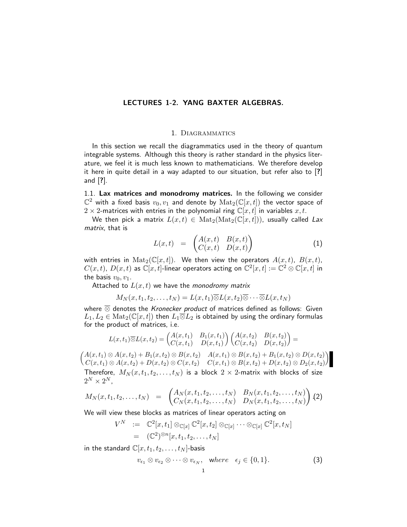# LECTURES 1-2. YANG BAXTER ALGEBRAS.

#### 1. Diagrammatics

In this section we recall the diagrammatics used in the theory of quantum integrable systems. Although this theory is rather standard in the physics literature, we feel it is much less known to mathematicians. We therefore develop it here in quite detail in a way adapted to our situation, but refer also to [?] and [?].

1.1. Lax matrices and monodromy matrices. In the following we consider  $\mathbb{C}^2$  with a fixed basis  $v_0,v_1$  and denote by  $\operatorname{Mat}_2(\mathbb{C}[x,t])$  the vector space of  $2 \times 2$ -matrices with entries in the polynomial ring  $\mathbb{C}[x,t]$  in variables  $x, t$ .

We then pick a matrix  $L(x,t) \in Mat_2(Mat_2(\mathbb{C}[x,t]))$ , usually called Lax matrix, that is

$$
L(x,t) = \begin{pmatrix} A(x,t) & B(x,t) \\ C(x,t) & D(x,t) \end{pmatrix}
$$
 (1)

with entries in  $\text{Mat}_2(\mathbb{C}[x,t])$ . We then view the operators  $A(x,t)$ ,  $B(x,t)$ ,  $C(x,t)$ ,  $D(x,t)$  as  $\mathbb C[x,t]$ -linear operators acting on  $\mathbb C^2[x,t]:=\mathbb C^2\otimes \mathbb C[x,t]$  in the basis  $v_0, v_1$ .

Attached to  $L(x, t)$  we have the monodromy matrix

$$
M_N(x,t_1,t_2,\ldots,t_N)=L(x,t_1)\overline{\otimes}L(x,t_2)\overline{\otimes}\cdots\overline{\otimes}L(x,t_N)
$$

where  $\overline{\otimes}$  denotes the Kronecker product of matrices defined as follows: Given  $L_1, L_2 \in \text{Mat}_2(\mathbb{C}[x,t])$  then  $L_1 \overline{\otimes} L_2$  is obtained by using the ordinary formulas for the product of matrices, i.e.

$$
L(x,t_1) \overline{\otimes} L(x,t_2) = \begin{pmatrix} A(x,t_1) & B_1(x,t_1) \\ C(x,t_1) & D(x,t_1) \end{pmatrix} \begin{pmatrix} A(x,t_2) & B(x,t_2) \\ C(x,t_2) & D(x,t_2) \end{pmatrix} =
$$

 $A(x,t_1) \otimes A(x,t_2) + B_1(x,t_2) \otimes B(x,t_2)$   $A(x,t_1) \otimes B(x,t_2) + B_1(x,t_2) \otimes D(x,t_2)$  $C(x, t_1) \otimes A(x, t_2) + D(x, t_2) \otimes C(x, t_2) \quad C(x, t_1) \otimes B(x, t_2) + D(x, t_2) \otimes D_2(x, t_2)$  $\setminus$ Therefore,  $M_N(x, t_1, t_2, \ldots, t_N)$  is a block  $2 \times 2$ -matrix with blocks of size  $2^N \times 2^N$ ,

$$
M_N(x, t_1, t_2, \ldots, t_N) = \begin{pmatrix} A_N(x, t_1, t_2, \ldots, t_N) & B_N(x, t_1, t_2, \ldots, t_N) \\ C_N(x, t_1, t_2, \ldots, t_N) & D_N(x, t_1, t_2, \ldots, t_N) \end{pmatrix}
$$
(2)

We will view these blocks as matrices of linear operators acting on

$$
V^N \quad := \quad \mathbb{C}^2[x,t_1] \otimes_{\mathbb{C}[x]} \mathbb{C}^2[x,t_2] \otimes_{\mathbb{C}[x]} \cdots \otimes_{\mathbb{C}[x]} \mathbb{C}^2[x,t_N]
$$

$$
= \quad (\mathbb{C}^2)^{\otimes n}[x,t_1,t_2,\ldots,t_N]
$$

in the standard  $\mathbb{C}[x, t_1, t_2, \ldots, t_N]$ -basis

$$
v_{\epsilon_1} \otimes v_{\epsilon_2} \otimes \cdots \otimes v_{\epsilon_N}, \quad \text{where} \quad \epsilon_j \in \{0, 1\}. \tag{3}
$$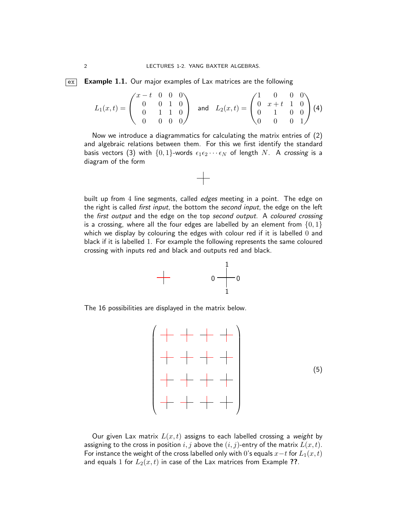#### $\overline{e}$  **Example 1.1.** Our major examples of Lax matrices are the following

$$
L_1(x,t) = \begin{pmatrix} x-t & 0 & 0 & 0 \\ 0 & 0 & 1 & 0 \\ 0 & 1 & 1 & 0 \\ 0 & 0 & 0 & 0 \end{pmatrix} \text{ and } L_2(x,t) = \begin{pmatrix} 1 & 0 & 0 & 0 \\ 0 & x+t & 1 & 0 \\ 0 & 1 & 0 & 0 \\ 0 & 0 & 0 & 1 \end{pmatrix} (4)
$$

Now we introduce a diagrammatics for calculating the matrix entries of (2) and algebraic relations between them. For this we first identify the standard basis vectors (3) with  $\{0, 1\}$ -words  $\epsilon_1 \epsilon_2 \cdots \epsilon_N$  of length N. A crossing is a diagram of the form

 $+$ 





The 16 possibilities are displayed in the matrix below.



Our given Lax matrix  $L(x, t)$  assigns to each labelled crossing a weight by assigning to the cross in position i, j above the  $(i, j)$ -entry of the matrix  $L(x, t)$ . For instance the weight of the cross labelled only with 0's equals  $x-t$  for  $L_1(x,t)$ and equals 1 for  $L_2(x,t)$  in case of the Lax matrices from Example ??.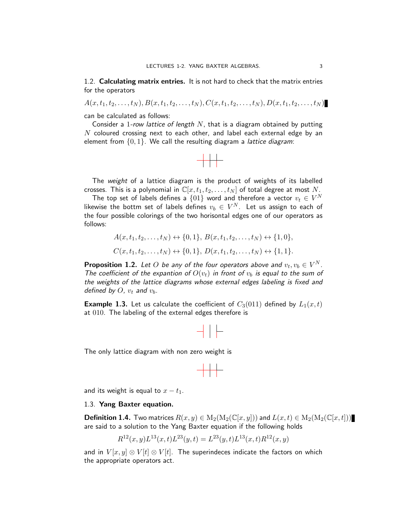1.2. Calculating matrix entries. It is not hard to check that the matrix entries for the operators

 $A(x, t_1, t_2, \ldots, t_N), B(x, t_1, t_2, \ldots, t_N), C(x, t_1, t_2, \ldots, t_N), D(x, t_1, t_2, \ldots, t_N)$ 

can be calculated as follows:

Consider a 1-row lattice of length  $N$ , that is a diagram obtained by putting  $N$  coloured crossing next to each other, and label each external edge by an element from  $\{0, 1\}$ . We call the resulting diagram a *lattice diagram*:



The weight of a lattice diagram is the product of weights of its labelled crosses. This is a polynomial in  $\mathbb{C}[x, t_1, t_2, \ldots, t_N]$  of total degree at most N.

The top set of labels defines a  $\{01\}$  word and therefore a vector  $v_t \in V^N$ likewise the bottm set of labels defines  $v_b\, \in\, V^N. \;$  Let us assign to each of the four possible colorings of the two horisontal edges one of our operators as follows:

$$
A(x, t_1, t_2, \dots, t_N) \leftrightarrow \{0, 1\}, B(x, t_1, t_2, \dots, t_N) \leftrightarrow \{1, 0\},
$$
  

$$
C(x, t_1, t_2, \dots, t_N) \leftrightarrow \{0, 1\}, D(x, t_1, t_2, \dots, t_N) \leftrightarrow \{1, 1\}.
$$

**Proposition 1.2.** Let O be any of the four operators above and  $v_t, v_b \in V^N$ . The coefficient of the expantion of  $O(v_t)$  in front of  $v_b$  is equal to the sum of the weights of the lattice diagrams whose external edges labeling is fixed and defined by  $O$ ,  $v_t$  and  $v_b$ .

**Example 1.3.** Let us calculate the coefficient of  $C_3(011)$  defined by  $L_1(x,t)$ at 010. The labeling of the external edges therefore is



The only lattice diagram with non zero weight is



and its weight is equal to  $x - t_1$ .

#### 1.3. Yang Baxter equation.

**Definition 1.4.** Two matrices  $R(x, y) \in M_2(M_2(\mathbb{C}[x, y]))$  and  $L(x, t) \in M_2(M_2(\mathbb{C}[x, t]))$ are said to a solution to the Yang Baxter equation if the following holds

$$
R^{12}(x,y)L^{13}(x,t)L^{23}(y,t) = L^{23}(y,t)L^{13}(x,t)R^{12}(x,y)
$$

and in  $V[x, y] \otimes V[t] \otimes V[t]$ . The superindeces indicate the factors on which the appropriate operators act.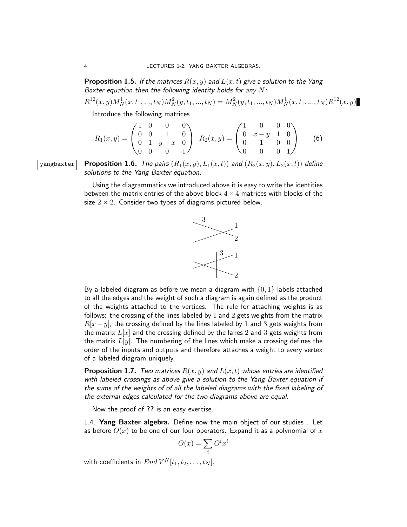**Proposition 1.5.** If the matrices  $R(x, y)$  and  $L(x, t)$  give a solution to the Yang Baxter equation then the following identity holds for any  $N$ :

$$
R^{12}(x,y)M_N^1(x,t_1,...,t_N)M_N^2(y,t_1,...,t_N) = M_N^2(y,t_1,...,t_N)M_N^1(x,t_1,...,t_N)R^{12}(x,y)
$$

Introduce the following matrices

$$
R_1(x,y) = \begin{pmatrix} 1 & 0 & 0 & 0 \\ 0 & 0 & 1 & 0 \\ 0 & 1 & y - x & 0 \\ 0 & 0 & 0 & 1 \end{pmatrix} \quad R_2(x,y) = \begin{pmatrix} 1 & 0 & 0 & 0 \\ 0 & x - y & 1 & 0 \\ 0 & 1 & 0 & 0 \\ 0 & 0 & 0 & 1 \end{pmatrix}
$$
 (6)

yangbaxter **Proposition 1.6.** The pairs  $(R_1(x, y), L_1(x, t))$  and  $(R_2(x, y), L_2(x, t))$  define solutions to the Yang Baxter equation.

> Using the diagrammatics we introduced above it is easy to write the identities between the matrix entries of the above block  $4 \times 4$  matrices with blocks of the size  $2 \times 2$ . Consider two types of diagrams pictured below.



By a labeled diagram as before we mean a diagram with  $\{0, 1\}$  labels attached to all the edges and the weight of such a diagram is again defined as the product of the weights attached to the vertices. The rule for attaching weights is as follows: the crossing of the lines labeled by 1 and 2 gets weights from the matrix  $R[x - y]$ , the crossing defined by the lines labeled by 1 and 3 gets weights from the matrix  $L[x]$  and the crossing defined by the lanes 2 and 3 gets weights from the matrix  $L[y]$ . The numbering of the lines which make a crossing defines the order of the inputs and outputs and therefore attaches a weight to every vertex of a labeled diagram uniquely.

**Proposition 1.7.** Two matrices  $R(x, y)$  and  $L(x, t)$  whose entries are identified with labeled crossings as above give a solution to the Yang Baxter equation if the sums of the weights of of all the labeled diagrams with the fixed labeling of the external edges calculated for the two diagrams above are equal.

Now the proof of ?? is an easy exercise.

1.4. Yang Baxter algebra. Define now the main object of our studies . Let as before  $O(x)$  to be one of our four operators. Expand it as a polynomial of x

$$
O(x) = \sum_{i} O^{i} x^{i}
$$

with coefficients in  $End V^N[t_1, t_2, \ldots, t_N]$ .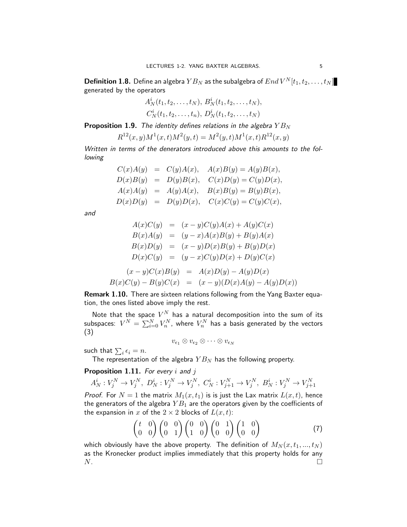**Definition 1.8.** Define an algebra  $YB_N$  as the subalgebra of  $End\,V^N[t_1,t_2,\ldots,t_N]$ generated by the operators

$$
A_N^i(t_1, t_2, \ldots, t_N), B_N^i(t_1, t_2, \ldots, t_N),
$$
  
 $C_N^i(t_1, t_2, \ldots, t_n), D_N^i(t_1, t_2, \ldots, t_N)$ 

**Proposition 1.9.** The identity defines relations in the algebra  $YB_N$ 

$$
R^{12}(x, y)M^{1}(x, t)M^{2}(y, t) = M^{2}(y, t)M^{1}(x, t)R^{12}(x, y)
$$

Written in terms of the denerators introduced above this amounts to the following

$$
C(x)A(y) = C(y)A(x), A(x)B(y) = A(y)B(x),D(x)B(y) = D(y)B(x), C(x)D(y) = C(y)D(x),A(x)A(y) = A(y)A(x), B(x)B(y) = B(y)B(x),D(x)D(y) = D(y)D(x), C(x)C(y) = C(y)C(x),
$$

and

$$
A(x)C(y) = (x - y)C(y)A(x) + A(y)C(x)
$$
  
\n
$$
B(x)A(y) = (y - x)A(x)B(y) + B(y)A(x)
$$
  
\n
$$
B(x)D(y) = (x - y)D(x)B(y) + B(y)D(x)
$$
  
\n
$$
D(x)C(y) = (y - x)C(y)D(x) + D(y)C(x)
$$
  
\n
$$
(x - y)C(x)B(y) = A(x)D(y) - A(y)D(x)
$$
  
\n
$$
B(x)C(y) - B(y)C(x) = (x - y)(D(x)A(y) - A(y)D(x))
$$

Remark 1.10. There are sixteen relations following from the Yang Baxter equation, the ones listed above imply the rest.

Note that the space  $V^N$  has a natural decomposition into the sum of its subspaces:  $V^N = \sum_{i=0}^N V^N_n$ , where  $V^N_n$  has a basis generated by the vectors (3)

 $v_{\epsilon_1} \otimes v_{\epsilon_2} \otimes \cdots \otimes v_{\epsilon_N}$ 

such that  $\sum_i \epsilon_i = n$ .

The representation of the algebra  $YB_N$  has the following property.

### **Proposition 1.11.** For every  $i$  and  $j$

$$
A_N^i: V_j^N \to V_j^N
$$
,  $D_N^i: V_j^N \to V_j^N$ ,  $C_N^i: V_{j+1}^N \to V_j^N$ ,  $B_N^i: V_j^N \to V_{j+1}^N$ 

*Proof.* For  $N = 1$  the matrix  $M_1(x, t_1)$  is is just the Lax matrix  $L(x, t)$ , hence the generators of the algebra  $YB_1$  are the operators given by the coefficients of the expansion in x of the  $2 \times 2$  blocks of  $L(x, t)$ :

$$
\begin{pmatrix} t & 0 \\ 0 & 0 \end{pmatrix} \begin{pmatrix} 0 & 0 \\ 0 & 1 \end{pmatrix} \begin{pmatrix} 0 & 0 \\ 1 & 0 \end{pmatrix} \begin{pmatrix} 0 & 1 \\ 0 & 0 \end{pmatrix} \begin{pmatrix} 1 & 0 \\ 0 & 0 \end{pmatrix}
$$
(7)

which obviously have the above property. The definition of  $M_N(x, t_1, ..., t_N)$ as the Kronecker product implies immediately that this property holds for any  $N$ .